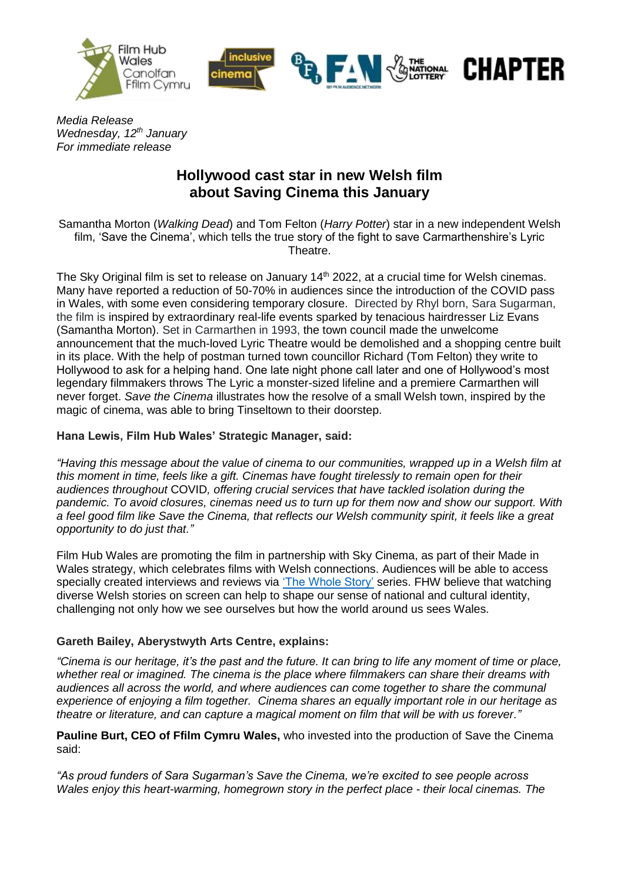



**CHAPTER** 

*Media Release Wednesday, 12 th January For immediate release*

# **Hollywood cast star in new Welsh film about Saving Cinema this January**

Samantha Morton (*Walking Dead*) and Tom Felton (*Harry Potter*) star in a new independent Welsh film, 'Save the Cinema', which tells the true story of the fight to save Carmarthenshire's Lyric Theatre.

The Sky Original film is set to release on January 14<sup>th</sup> 2022, at a crucial time for Welsh cinemas. Many have reported a reduction of 50-70% in audiences since the introduction of the COVID pass in Wales, with some even considering temporary closure. Directed by Rhyl born, Sara Sugarman, the film is inspired by extraordinary real-life events sparked by tenacious hairdresser Liz Evans (Samantha Morton). Set in Carmarthen in 1993, the town council made the unwelcome announcement that the much-loved Lyric Theatre would be demolished and a shopping centre built in its place. With the help of postman turned town councillor Richard (Tom Felton) they write to Hollywood to ask for a helping hand. One late night phone call later and one of Hollywood's most legendary filmmakers throws The Lyric a monster-sized lifeline and a premiere Carmarthen will never forget. *Save the Cinema* illustrates how the resolve of a small Welsh town, inspired by the magic of cinema, was able to bring Tinseltown to their doorstep.

## **Hana Lewis, Film Hub Wales' Strategic Manager, said:**

*"Having this message about the value of cinema to our communities, wrapped up in a Welsh film at this moment in time, feels like a gift. Cinemas have fought tirelessly to remain open for their audiences throughout* COVID*, offering crucial services that have tackled isolation during the pandemic. To avoid closures, cinemas need us to turn up for them now and show our support. With a feel good film like Save the Cinema, that reflects our Welsh community spirit, it feels like a great opportunity to do just that."*

Film Hub Wales are promoting the film in partnership with Sky Cinema, as part of their Made in Wales strategy, which celebrates films with Welsh connections. Audiences will be able to access specially created interviews and reviews via ['The Whole Story'](https://filmhubwales.org/en/the-whole-story/) series. FHW believe that watching diverse Welsh stories on screen can help to shape our sense of national and cultural identity, challenging not only how we see ourselves but how the world around us sees Wales.

## **Gareth Bailey, Aberystwyth Arts Centre, explains:**

*"Cinema is our heritage, it's the past and the future. It can bring to life any moment of time or place, whether real or imagined. The cinema is the place where filmmakers can share their dreams with audiences all across the world, and where audiences can come together to share the communal experience of enjoying a film together. Cinema shares an equally important role in our heritage as theatre or literature, and can capture a magical moment on film that will be with us forever."* 

**Pauline Burt, CEO of Ffilm Cymru Wales,** who invested into the production of Save the Cinema said:

*"As proud funders of Sara Sugarman's Save the Cinema, we're excited to see people across Wales enjoy this heart-warming, homegrown story in the perfect place - their local cinemas. The*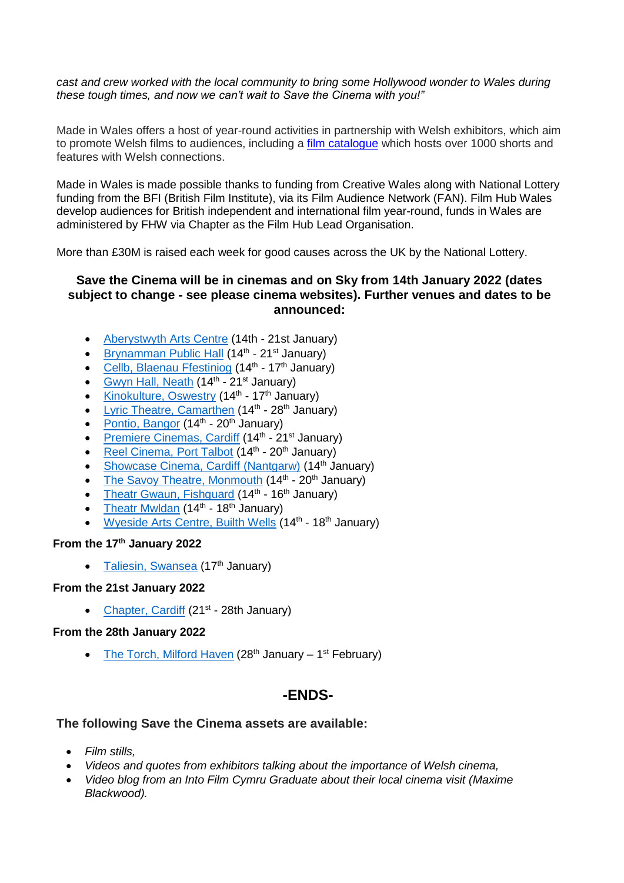*cast and crew worked with the local community to bring some Hollywood wonder to Wales during these tough times, and now we can't wait to Save the Cinema with you!"*

Made in Wales offers a host of year-round activities in partnership with Welsh exhibitors, which aim to promote Welsh films to audiences, including a [film catalogue](https://filmhubwales.org/en/film-catalogue/) which hosts over 1000 shorts and features with Welsh connections.

Made in Wales is made possible thanks to funding from Creative Wales along with National Lottery funding from the BFI (British Film Institute), via its Film Audience Network (FAN). Film Hub Wales develop audiences for British independent and international film year-round, funds in Wales are administered by FHW via Chapter as the Film Hub Lead Organisation.

More than £30M is raised each week for good causes across the UK by the National Lottery.

## **Save the Cinema will be in cinemas and on Sky from 14th January 2022 (dates subject to change - see please cinema websites). Further venues and dates to be announced:**

- [Aberystwyth Arts Centre](https://www.aberystwythartscentre.co.uk/) (14th 21st January)
- [Brynamman Public Hall](https://www.brynammancinema.org/) (14<sup>th</sup> 21<sup>st</sup> January)
- [Cellb, Blaenau Ffestiniog](http://cellb.org/) (14<sup>th</sup> 17<sup>th</sup> January)
- [Gwyn Hall, Neath](https://gwynhall.com/) (14<sup>th</sup> 21<sup>st</sup> January)
- [Kinokulture, Oswestry](https://www.kinokulture.org.uk/) (14<sup>th</sup> 17<sup>th</sup> January)
- [Lyric Theatre, Camarthen](https://www.theatrausirgar.co.uk/en/whats-on) (14<sup>th</sup> 28<sup>th</sup> January)
- [Pontio, Bangor](https://www.pontio.co.uk/) (14<sup>th</sup> 20<sup>th</sup> January)
- [Premiere Cinemas, Cardiff](https://cardiff.premierecinemas.co.uk/PremiereCinemasCardiff.dll/Home) (14<sup>th</sup> 21<sup>st</sup> January)
- [Reel Cinema, Port Talbot](https://reelcinemas.co.uk/port-talbot/now/) (14<sup>th</sup> 20<sup>th</sup> January)
- [Showcase Cinema, Cardiff](https://www.showcasecinemas.co.uk/showtimes/showcase-cardiff-nantgarw) (Nantgarw) (14<sup>th</sup> January)
- The [Savoy Theatre, Monmouth](https://monmouth-savoy.co.uk/) (14<sup>th</sup> 20<sup>th</sup> January)
- [Theatr Gwaun, Fishguard](https://theatrgwaun.com/) (14<sup>th</sup> 16<sup>th</sup> January)
- [Theatr Mwldan](https://mwldan.co.uk/) (14<sup>th</sup> 18<sup>th</sup> January)
- [Wyeside Arts Centre, Builth Wells](https://www.wyeside.co.uk/?locale=en) (14<sup>th</sup> 18<sup>th</sup> January)

## **From the 17th January 2022**

• [Taliesin, Swansea](https://www.taliesinartscentre.co.uk/en/) (17<sup>th</sup> January)

#### **From the 21st January 2022**

• [Chapter,](https://www.chapter.org/) Cardiff (21<sup>st</sup> - 28th January)

#### **From the 28th January 2022**

• [The Torch, Milford Haven](https://www.torchtheatre.co.uk/) (28<sup>th</sup> January – 1<sup>st</sup> February)

# **-ENDS-**

#### **The following Save the Cinema assets are available:**

- *Film stills,*
- *Videos and quotes from exhibitors talking about the importance of Welsh cinema,*
- *Video blog from an Into Film Cymru Graduate about their local cinema visit (Maxime Blackwood).*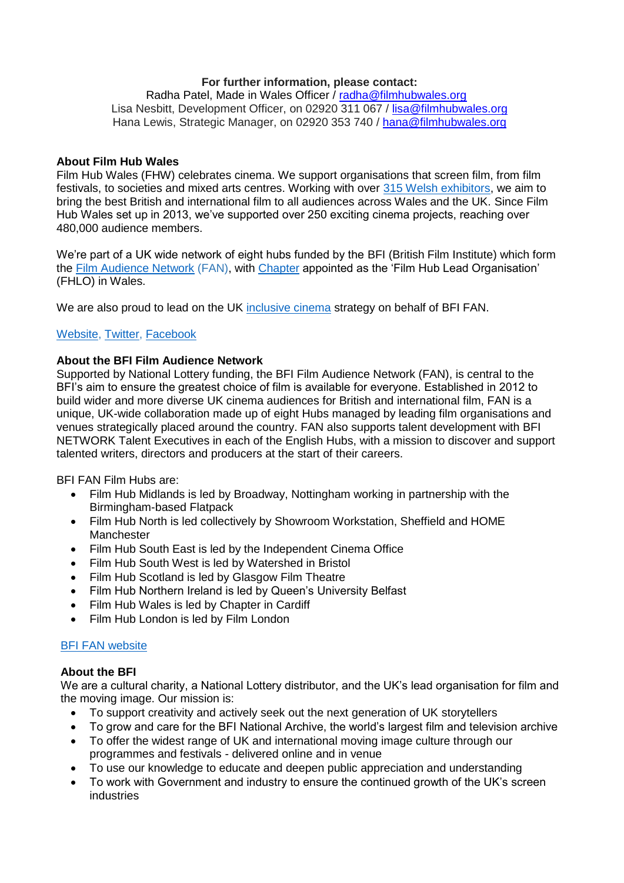### **For further information, please contact:**

Radha Patel, Made in Wales Officer / [radha@filmhubwales.org](mailto:radha@filmhubwales.org) Lisa Nesbitt, Development Officer, on 02920 311 067 / [lisa@filmhubwales.org](mailto:lisa@filmhubwales.org) Hana Lewis, Strategic Manager, on 02920 353 740 / [hana@filmhubwales.org](mailto:hana@filmhubwales.org)

#### **About Film Hub Wales**

Film Hub Wales (FHW) celebrates cinema. We support organisations that screen film, from film festivals, to societies and mixed arts centres. Working with over [315 Welsh exhibitors,](https://filmhubwales.org/members/) we aim to bring the best British and international film to all audiences across Wales and the UK. Since Film Hub Wales set up in 2013, we've supported over 250 exciting cinema projects, reaching over 480,000 audience members.

We're part of a UK wide network of eight hubs funded by the BFI (British Film Institute) which form the [Film Audience Network](https://www.bfi.org.uk/supporting-uk-film/distribution-exhibition-funding/film-audience-network) (FAN), with [Chapter](http://www.chapter.org/) appointed as the 'Film Hub Lead Organisation' (FHLO) in Wales.

We are also proud to lead on the UK [inclusive cinema](http://www.inclusivecinema.org/) strategy on behalf of BFI FAN.

## [Website,](https://filmhubwales.org/en/) [Twitter,](https://twitter.com/filmhubwales) [Facebook](https://www.facebook.com/filmhubwales/)

## **About the BFI Film Audience Network**

Supported by National Lottery funding, the BFI Film Audience Network (FAN), is central to the BFI's aim to ensure the greatest choice of film is available for everyone. Established in 2012 to build wider and more diverse UK cinema audiences for British and international film, FAN is a unique, UK-wide collaboration made up of eight Hubs managed by leading film organisations and venues strategically placed around the country. FAN also supports talent development with BFI NETWORK Talent Executives in each of the English Hubs, with a mission to discover and support talented writers, directors and producers at the start of their careers.

BFI FAN Film Hubs are:

- Film Hub Midlands is led by Broadway, Nottingham working in partnership with the Birmingham-based Flatpack
- Film Hub North is led collectively by Showroom Workstation, Sheffield and HOME **Manchester**
- Film Hub South East is led by the Independent Cinema Office
- Film Hub South West is led by Watershed in Bristol
- Film Hub Scotland is led by Glasgow Film Theatre
- Film Hub Northern Ireland is led by Queen's University Belfast
- Film Hub Wales is led by Chapter in Cardiff
- Film Hub London is led by Film London

#### [BFI FAN website](https://www.bfi.org.uk/supporting-uk-film/distribution-exhibition-funding/film-audience-network)

#### **About the BFI**

We are a cultural charity, a National Lottery distributor, and the UK's lead organisation for film and the moving image. Our mission is:

- To support creativity and actively seek out the next generation of UK storytellers
- To grow and care for the BFI National Archive, the world's largest film and television archive
- To offer the widest range of UK and international moving image culture through our programmes and festivals - delivered online and in venue
- To use our knowledge to educate and deepen public appreciation and understanding
- To work with Government and industry to ensure the continued growth of the UK's screen industries